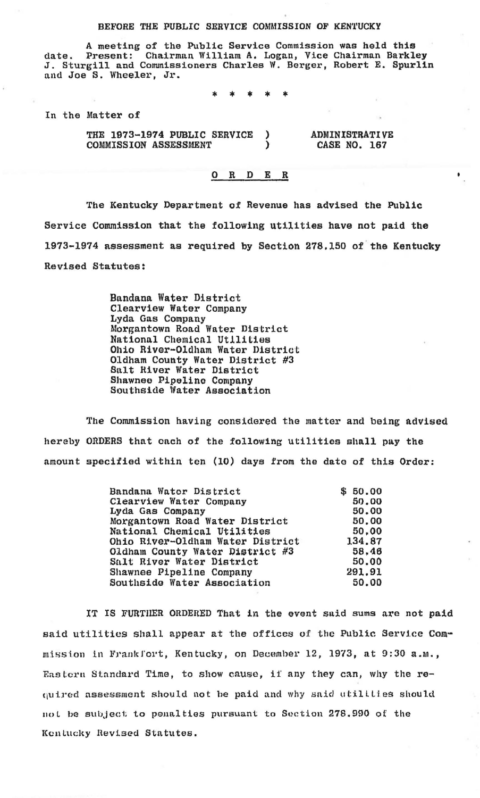## BEFORE THE PUBLIC SERVICE COMMISSION OF KENTUCKY

A meeting of the Public Service Commission was held this date. Present: Chairman William A. Logan, Vice Chairman Barkley J. Sturgill and Commissioners Charles W. Berger, Robert E. Spurlin and Joe S. Wheeler, Jr.

In the Matter of

THE 1973-1974 PUBLIC SERVICE 1 Ÿ COMMISSION ASSESSMENT

**ADMINISTRATIVE** CASE NO. 167

## $\Omega$  $\mathbf R$ D Е  $\mathbf R$

The Kentucky Department of Revenue has advised the Public Service Commission that the following utilities have not paid the 1973-1974 assessment as required by Section 278,150 of the Kentucky Revised Statutes:

> Bandana Water District Clearview Water Company Lyda Gas Company Morgantown Road Water District National Chemical Utilities Ohio River-Oldham Water District Oldham County Water District #3 Salt River Water District Shawnee Pipeline Company Southside Water Association

The Commission having considered the matter and being advised hereby ORDERS that each of the following utilities shall pay the amount specified within ten (10) days from the date of this Order:

| Bandana Wator District           | \$50.00 |
|----------------------------------|---------|
| Clearview Water Company          | 50.00   |
| Lyda Gas Company                 | 50.00   |
| Morgantown Road Water District   | 50.00   |
| National Chemical Utilities      | 50.00   |
| Ohio River-Oldham Water District | 134.87  |
| Oldham County Water District #3  | 58.46   |
| Salt River Water District        | 50.00   |
| Shawnee Pipeline Company         | 291.91  |
| Southside Water Association      | 50.00   |

IT IS FURTHER ORDERED That in the event said sums are not paid said utilities shall appear at the offices of the Public Service Commission in Frankfort, Kentucky, on December 12, 1973, at 9:30 a.m., Eastern Standard Time, to show cause, if any they can, why the required assessment should not be paid and why said utilities should not be subject to penalties pursuant to Section 278.990 of the Kentucky Revised Statutes.